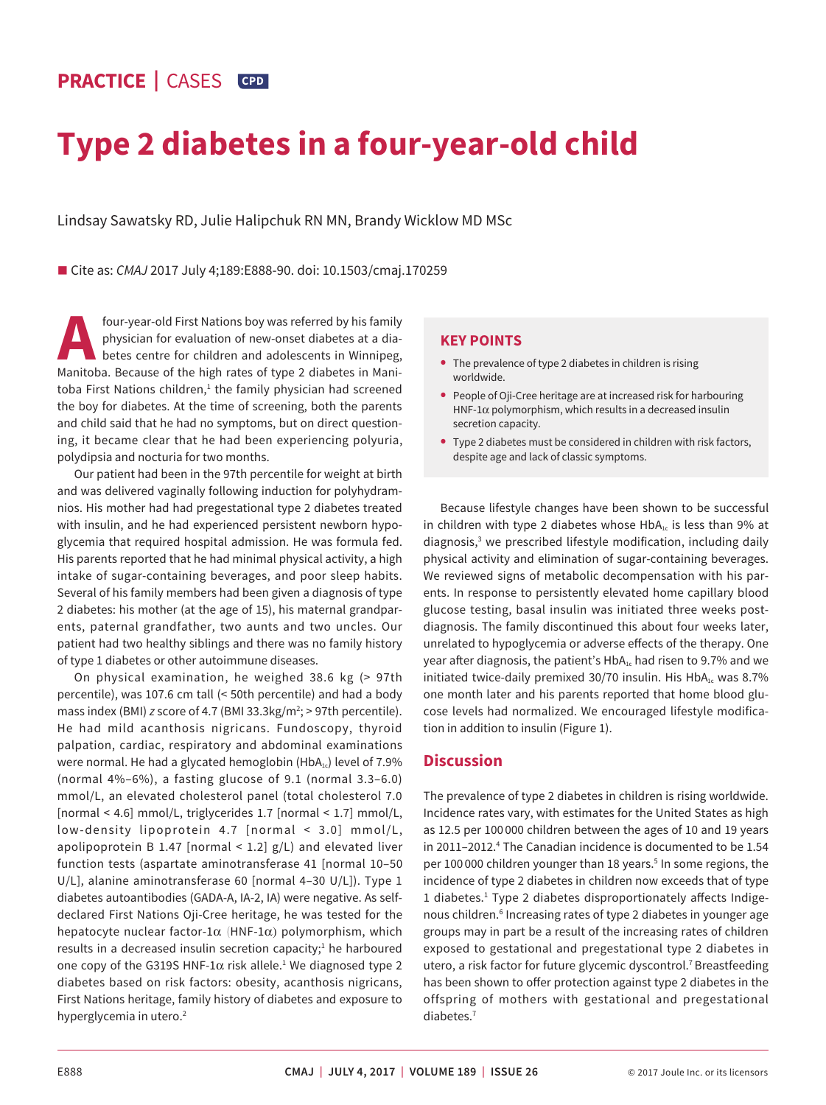# **PRACTICE |** CASES **CPD**

# **Type 2 diabetes in a four-year-old child**

Lindsay Sawatsky RD, Julie Halipchuk RN MN, Brandy Wicklow MD MSc

■ Cite as: *CMAJ* 2017 July 4;189:E888-90. doi: 10.1503/cmaj.170259

four-year-old First Nations boy was referred by his family physician for evaluation of new-onset diabetes at a diabetes centre for children and adolescents in Winnipeg, Manitoba. Because of the high rates of type 2 diabetes in Manitoba First Nations children, $<sup>1</sup>$  the family physician had screened</sup> the boy for diabetes. At the time of screening, both the parents and child said that he had no symptoms, but on direct questioning, it became clear that he had been experiencing polyuria, polydipsia and nocturia for two months.

Our patient had been in the 97th percentile for weight at birth and was delivered vaginally following induction for polyhydramnios. His mother had had pregestational type 2 diabetes treated with insulin, and he had experienced persistent newborn hypoglycemia that required hospital admission. He was formula fed. His parents reported that he had minimal physical activity, a high intake of sugar-containing beverages, and poor sleep habits. Several of his family members had been given a diagnosis of type 2 diabetes: his mother (at the age of 15), his maternal grandparents, paternal grandfather, two aunts and two uncles. Our patient had two healthy siblings and there was no family history of type 1 diabetes or other autoimmune diseases.

On physical examination, he weighed 38.6 kg (> 97th percentile), was 107.6 cm tall (< 50th percentile) and had a body mass index (BMI) *z* score of 4.7 (BMI 33.3kg/m<sup>2</sup>; > 97th percentile). He had mild acanthosis nigricans. Fundoscopy, thyroid palpation, cardiac, respiratory and abdominal examinations were normal. He had a glycated hemoglobin (HbA $_{1c}$ ) level of 7.9% (normal 4%–6%), a fasting glucose of 9.1 (normal 3.3–6.0) mmol/L, an elevated cholesterol panel (total cholesterol 7.0 [normal < 4.6] mmol/L, triglycerides 1.7 [normal < 1.7] mmol/L, low-density lipoprotein 4.7 [normal < 3.0] mmol/L, apolipoprotein B 1.47 [normal  $\leq$  1.2] g/L) and elevated liver function tests (aspartate aminotransferase 41 [normal 10–50 U/L], alanine aminotransferase 60 [normal 4–30 U/L]). Type 1 diabetes autoantibodies (GADA-A, IA-2, IA) were negative. As selfdeclared First Nations Oji-Cree heritage, he was tested for the hepatocyte nuclear factor-1 $\alpha$  (HNF-1 $\alpha$ ) polymorphism, which results in a decreased insulin secretion capacity;<sup>1</sup> he harboured one copy of the G319S HNF-1 $\alpha$  risk allele.<sup>1</sup> We diagnosed type 2 diabetes based on risk factors: obesity, acanthosis nigricans, First Nations heritage, family history of diabetes and exposure to hyperglycemia in utero.<sup>2</sup>

## **KEY POINTS**

- **•** The prevalence of type 2 diabetes in children is rising worldwide.
- **•** People of Oji-Cree heritage are at increased risk for harbouring HNF-1 $\alpha$  polymorphism, which results in a decreased insulin secretion capacity.
- **•** Type 2 diabetes must be considered in children with risk factors, despite age and lack of classic symptoms.

Because lifestyle changes have been shown to be successful in children with type 2 diabetes whose  $HbA<sub>1c</sub>$  is less than 9% at diagnosis,<sup>3</sup> we prescribed lifestyle modification, including daily physical activity and elimination of sugar-containing beverages. We reviewed signs of metabolic decompensation with his parents. In response to persistently elevated home capillary blood glucose testing, basal insulin was initiated three weeks postdiagnosis. The family discontinued this about four weeks later, unrelated to hypoglycemia or adverse effects of the therapy. One year after diagnosis, the patient's  $HbA_{1c}$  had risen to 9.7% and we initiated twice-daily premixed 30/70 insulin. His  $HbA<sub>1c</sub>$  was 8.7% one month later and his parents reported that home blood glucose levels had normalized. We encouraged lifestyle modification in addition to insulin (Figure 1).

### **Discussion**

The prevalence of type 2 diabetes in children is rising worldwide. Incidence rates vary, with estimates for the United States as high as 12.5 per 100 000 children between the ages of 10 and 19 years in 2011–2012.4 The Canadian incidence is documented to be 1.54 per 100 000 children younger than 18 years.<sup>5</sup> In some regions, the incidence of type 2 diabetes in children now exceeds that of type 1 diabetes.<sup>1</sup> Type 2 diabetes disproportionately affects Indigenous children.<sup>6</sup> Increasing rates of type 2 diabetes in younger age groups may in part be a result of the increasing rates of children exposed to gestational and pregestational type 2 diabetes in utero, a risk factor for future glycemic dyscontrol.<sup>7</sup> Breastfeeding has been shown to offer protection against type 2 diabetes in the offspring of mothers with gestational and pregestational diabetes.7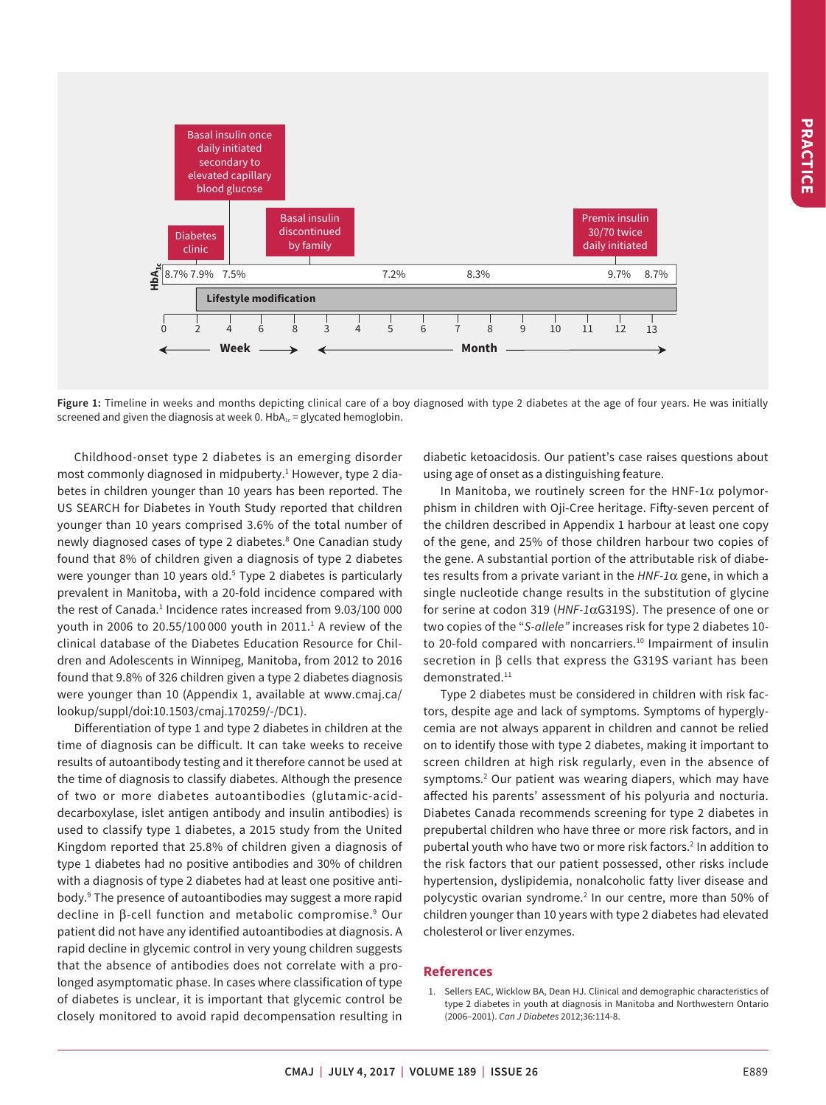

**Figure 1:** Timeline in weeks and months depicting clinical care of a boy diagnosed with type 2 diabetes at the age of four years. He was initially screened and given the diagnosis at week 0.  $HbA_{1c}$  = glycated hemoglobin.

Childhood-onset type 2 diabetes is an emerging disorder most commonly diagnosed in midpuberty.<sup>1</sup> However, type 2 diabetes in children younger than 10 years has been reported. The US SEARCH for Diabetes in Youth Study reported that children younger than 10 years comprised 3.6% of the total number of newly diagnosed cases of type 2 diabetes.<sup>8</sup> One Canadian study found that 8% of children given a diagnosis of type 2 diabetes were younger than 10 years old.<sup>5</sup> Type 2 diabetes is particularly prevalent in Manitoba, with a 20-fold incidence compared with the rest of Canada.<sup>1</sup> Incidence rates increased from 9.03/100 000 youth in 2006 to 20.55/100 000 youth in 2011.1 A review of the clinical database of the Diabetes Education Resource for Children and Adolescents in Winnipeg, Manitoba, from 2012 to 2016 found that 9.8% of 326 children given a type 2 diabetes diagnosis were younger than 10 (Appendix 1, available at www.cmaj.ca/ lookup/suppl/doi:10.1503/cmaj.170259/-/DC1).

Differentiation of type 1 and type 2 diabetes in children at the time of diagnosis can be difficult. It can take weeks to receive results of autoantibody testing and it therefore cannot be used at the time of diagnosis to classify diabetes. Although the presence of two or more diabetes autoantibodies (glutamic-aciddecarboxylase, islet antigen antibody and insulin antibodies) is used to classify type 1 diabetes, a 2015 study from the United Kingdom reported that 25.8% of children given a diagnosis of type 1 diabetes had no positive antibodies and 30% of children with a diagnosis of type 2 diabetes had at least one positive antibody.9 The presence of autoantibodies may suggest a more rapid decline in β-cell function and metabolic compromise.<sup>9</sup> Our patient did not have any identified autoantibodies at diagnosis. A rapid decline in glycemic control in very young children suggests that the absence of antibodies does not correlate with a prolonged asymptomatic phase. In cases where classification of type of diabetes is unclear, it is important that glycemic control be closely monitored to avoid rapid decompensation resulting in diabetic ketoacidosis. Our patient's case raises questions about using age of onset as a distinguishing feature.

In Manitoba, we routinely screen for the HNF-1 $\alpha$  polymorphism in children with Oji-Cree heritage. Fifty-seven percent of the children described in Appendix 1 harbour at least one copy of the gene, and 25% of those children harbour two copies of the gene. A substantial portion of the attributable risk of diabetes results from a private variant in the *HNF-1*α gene, in which a single nucleotide change results in the substitution of glycine for serine at codon 319 (*HNF-1*αG319S). The presence of one or two copies of the "*S-allele"* increases risk for type 2 diabetes 10 to 20-fold compared with noncarriers.<sup>10</sup> Impairment of insulin secretion in β cells that express the G319S variant has been demonstrated.<sup>11</sup>

Type 2 diabetes must be considered in children with risk factors, despite age and lack of symptoms. Symptoms of hyperglycemia are not always apparent in children and cannot be relied on to identify those with type 2 diabetes, making it important to screen children at high risk regularly, even in the absence of symptoms.2 Our patient was wearing diapers, which may have affected his parents' assessment of his polyuria and nocturia. Diabetes Canada recommends screening for type 2 diabetes in prepubertal children who have three or more risk factors, and in pubertal youth who have two or more risk factors.2 In addition to the risk factors that our patient possessed, other risks include hypertension, dyslipidemia, nonalcoholic fatty liver disease and polycystic ovarian syndrome.<sup>2</sup> In our centre, more than 50% of children younger than 10 years with type 2 diabetes had elevated cholesterol or liver enzymes.

#### **References**

1. Sellers EAC, Wicklow BA, Dean HJ. Clinical and demographic characteristics of type 2 diabetes in youth at diagnosis in Manitoba and Northwestern Ontario (2006–2001). *Can J Diabetes* 2012;36:114-8.